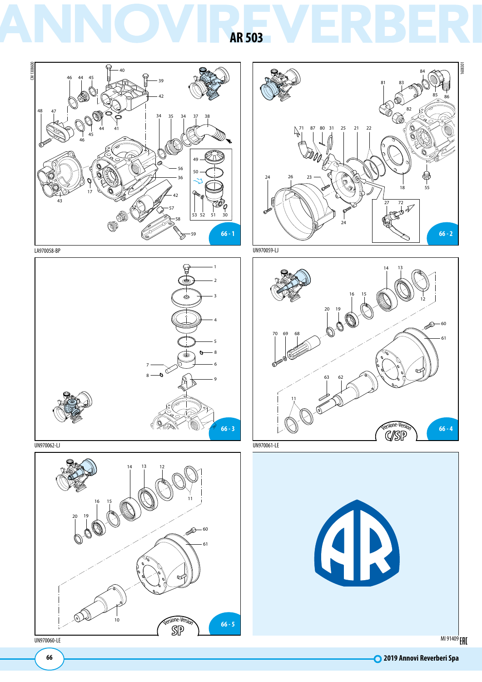













MI 91409 **EHL**